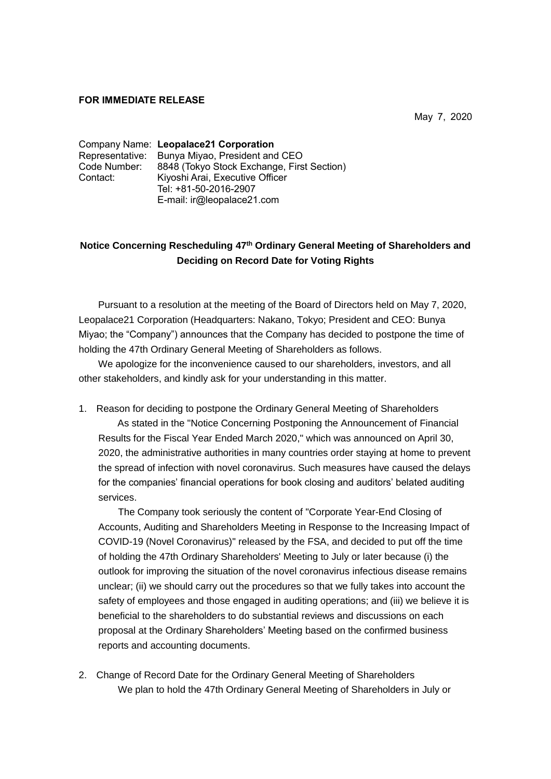## **FOR IMMEDIATE RELEASE**

May 7, 2020

|              | Company Name: Leopalace21 Corporation          |
|--------------|------------------------------------------------|
|              | Representative: Bunya Miyao, President and CEO |
| Code Number: | 8848 (Tokyo Stock Exchange, First Section)     |
| Contact:     | Kiyoshi Arai, Executive Officer                |
|              | Tel: +81-50-2016-2907                          |
|              | E-mail: ir@leopalace21.com                     |

## **Notice Concerning Rescheduling 47th Ordinary General Meeting of Shareholders and Deciding on Record Date for Voting Rights**

Pursuant to a resolution at the meeting of the Board of Directors held on May 7, 2020, Leopalace21 Corporation (Headquarters: Nakano, Tokyo; President and CEO: Bunya Miyao; the "Company") announces that the Company has decided to postpone the time of holding the 47th Ordinary General Meeting of Shareholders as follows.

We apologize for the inconvenience caused to our shareholders, investors, and all other stakeholders, and kindly ask for your understanding in this matter.

1. Reason for deciding to postpone the Ordinary General Meeting of Shareholders As stated in the "Notice Concerning Postponing the Announcement of Financial Results for the Fiscal Year Ended March 2020," which was announced on April 30, 2020, the administrative authorities in many countries order staying at home to prevent the spread of infection with novel coronavirus. Such measures have caused the delays for the companies' financial operations for book closing and auditors' belated auditing services.

The Company took seriously the content of "Corporate Year-End Closing of Accounts, Auditing and Shareholders Meeting in Response to the Increasing Impact of COVID-19 (Novel Coronavirus)" released by the FSA, and decided to put off the time of holding the 47th Ordinary Shareholders' Meeting to July or later because (i) the outlook for improving the situation of the novel coronavirus infectious disease remains unclear; (ii) we should carry out the procedures so that we fully takes into account the safety of employees and those engaged in auditing operations; and (iii) we believe it is beneficial to the shareholders to do substantial reviews and discussions on each proposal at the Ordinary Shareholders' Meeting based on the confirmed business reports and accounting documents.

2. Change of Record Date for the Ordinary General Meeting of Shareholders We plan to hold the 47th Ordinary General Meeting of Shareholders in July or